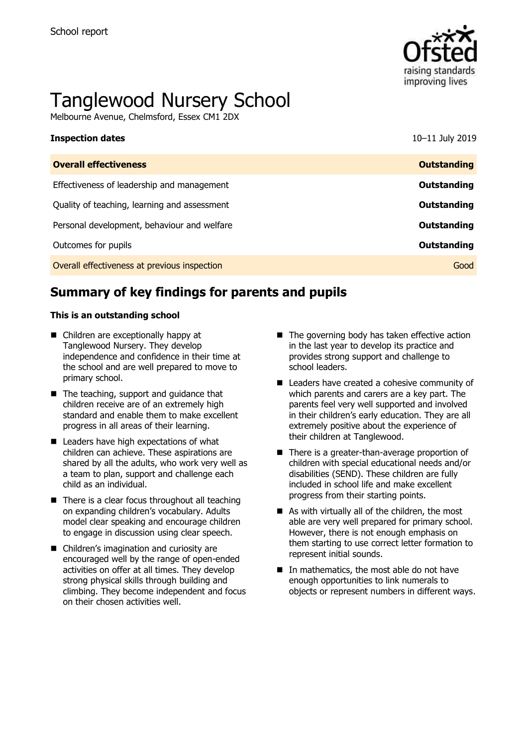

# Tanglewood Nursery School

Melbourne Avenue, Chelmsford, Essex CM1 2DX

| <b>Inspection dates</b>                      | 10-11 July 2019    |
|----------------------------------------------|--------------------|
| <b>Overall effectiveness</b>                 | <b>Outstanding</b> |
| Effectiveness of leadership and management   | Outstanding        |
| Quality of teaching, learning and assessment | Outstanding        |
| Personal development, behaviour and welfare  | Outstanding        |
| Outcomes for pupils                          | Outstanding        |
| Overall effectiveness at previous inspection | Good               |

# **Summary of key findings for parents and pupils**

### **This is an outstanding school**

- Children are exceptionally happy at Tanglewood Nursery. They develop independence and confidence in their time at the school and are well prepared to move to primary school.
- The teaching, support and quidance that children receive are of an extremely high standard and enable them to make excellent progress in all areas of their learning.
- Leaders have high expectations of what children can achieve. These aspirations are shared by all the adults, who work very well as a team to plan, support and challenge each child as an individual.
- There is a clear focus throughout all teaching on expanding children's vocabulary. Adults model clear speaking and encourage children to engage in discussion using clear speech.
- Children's imagination and curiosity are encouraged well by the range of open-ended activities on offer at all times. They develop strong physical skills through building and climbing. They become independent and focus on their chosen activities well.
- $\blacksquare$  The governing body has taken effective action in the last year to develop its practice and provides strong support and challenge to school leaders.
- Leaders have created a cohesive community of which parents and carers are a key part. The parents feel very well supported and involved in their children's early education. They are all extremely positive about the experience of their children at Tanglewood.
- There is a greater-than-average proportion of children with special educational needs and/or disabilities (SEND). These children are fully included in school life and make excellent progress from their starting points.
- As with virtually all of the children, the most able are very well prepared for primary school. However, there is not enough emphasis on them starting to use correct letter formation to represent initial sounds.
- In mathematics, the most able do not have enough opportunities to link numerals to objects or represent numbers in different ways.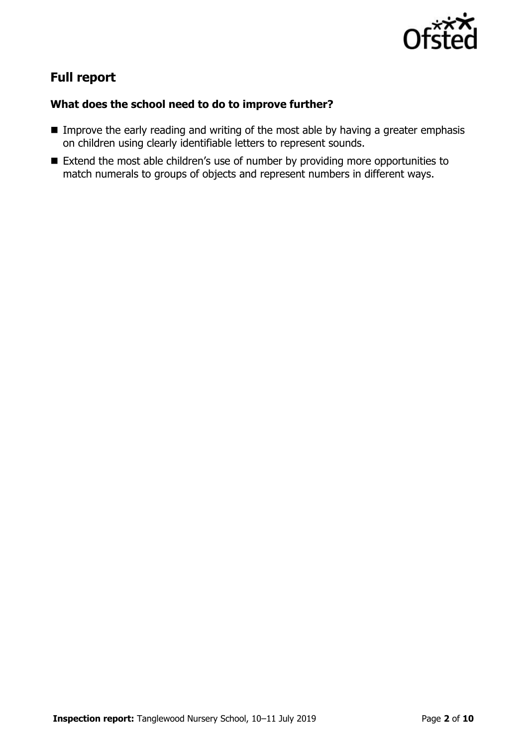

# **Full report**

### **What does the school need to do to improve further?**

- Improve the early reading and writing of the most able by having a greater emphasis on children using clearly identifiable letters to represent sounds.
- Extend the most able children's use of number by providing more opportunities to match numerals to groups of objects and represent numbers in different ways.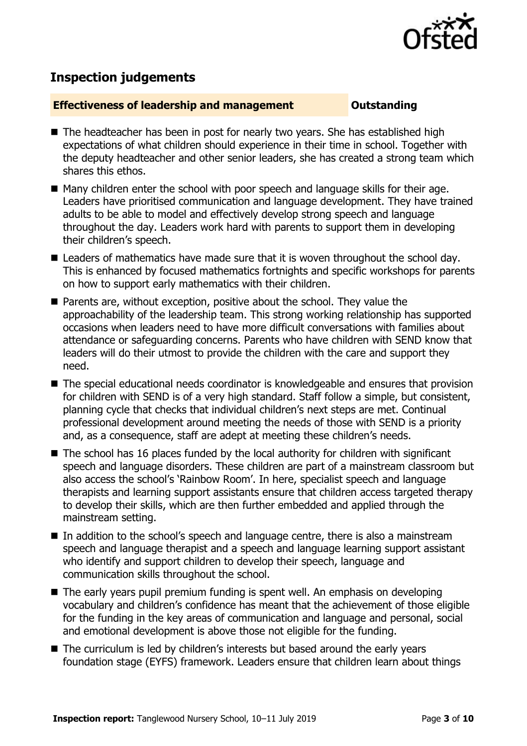

# **Inspection judgements**

### **Effectiveness of leadership and management COULDER COULDER OUTSTANDING**

- The headteacher has been in post for nearly two years. She has established high expectations of what children should experience in their time in school. Together with the deputy headteacher and other senior leaders, she has created a strong team which shares this ethos.
- Many children enter the school with poor speech and language skills for their age. Leaders have prioritised communication and language development. They have trained adults to be able to model and effectively develop strong speech and language throughout the day. Leaders work hard with parents to support them in developing their children's speech.
- Leaders of mathematics have made sure that it is woven throughout the school day. This is enhanced by focused mathematics fortnights and specific workshops for parents on how to support early mathematics with their children.
- Parents are, without exception, positive about the school. They value the approachability of the leadership team. This strong working relationship has supported occasions when leaders need to have more difficult conversations with families about attendance or safeguarding concerns. Parents who have children with SEND know that leaders will do their utmost to provide the children with the care and support they need.
- The special educational needs coordinator is knowledgeable and ensures that provision for children with SEND is of a very high standard. Staff follow a simple, but consistent, planning cycle that checks that individual children's next steps are met. Continual professional development around meeting the needs of those with SEND is a priority and, as a consequence, staff are adept at meeting these children's needs.
- The school has 16 places funded by the local authority for children with significant speech and language disorders. These children are part of a mainstream classroom but also access the school's 'Rainbow Room'. In here, specialist speech and language therapists and learning support assistants ensure that children access targeted therapy to develop their skills, which are then further embedded and applied through the mainstream setting.
- In addition to the school's speech and language centre, there is also a mainstream speech and language therapist and a speech and language learning support assistant who identify and support children to develop their speech, language and communication skills throughout the school.
- The early years pupil premium funding is spent well. An emphasis on developing vocabulary and children's confidence has meant that the achievement of those eligible for the funding in the key areas of communication and language and personal, social and emotional development is above those not eligible for the funding.
- The curriculum is led by children's interests but based around the early years foundation stage (EYFS) framework. Leaders ensure that children learn about things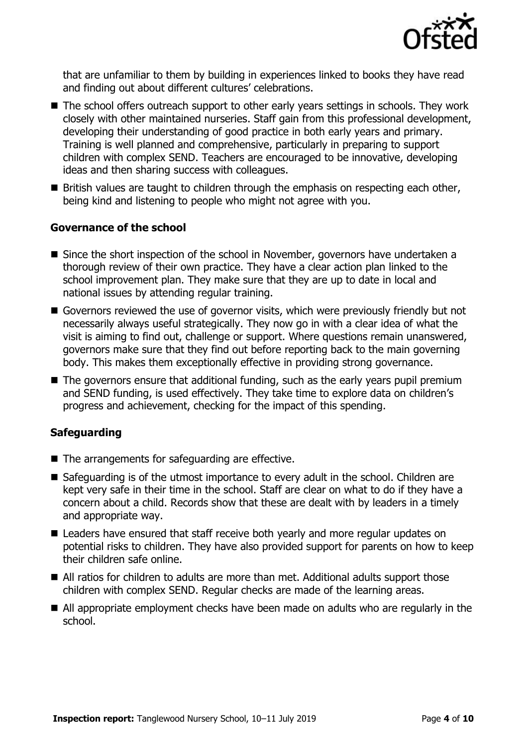

that are unfamiliar to them by building in experiences linked to books they have read and finding out about different cultures' celebrations.

- The school offers outreach support to other early years settings in schools. They work closely with other maintained nurseries. Staff gain from this professional development, developing their understanding of good practice in both early years and primary. Training is well planned and comprehensive, particularly in preparing to support children with complex SEND. Teachers are encouraged to be innovative, developing ideas and then sharing success with colleagues.
- **British values are taught to children through the emphasis on respecting each other,** being kind and listening to people who might not agree with you.

### **Governance of the school**

- Since the short inspection of the school in November, governors have undertaken a thorough review of their own practice. They have a clear action plan linked to the school improvement plan. They make sure that they are up to date in local and national issues by attending regular training.
- Governors reviewed the use of governor visits, which were previously friendly but not necessarily always useful strategically. They now go in with a clear idea of what the visit is aiming to find out, challenge or support. Where questions remain unanswered, governors make sure that they find out before reporting back to the main governing body. This makes them exceptionally effective in providing strong governance.
- The governors ensure that additional funding, such as the early years pupil premium and SEND funding, is used effectively. They take time to explore data on children's progress and achievement, checking for the impact of this spending.

### **Safeguarding**

- $\blacksquare$  The arrangements for safeguarding are effective.
- Safeguarding is of the utmost importance to every adult in the school. Children are kept very safe in their time in the school. Staff are clear on what to do if they have a concern about a child. Records show that these are dealt with by leaders in a timely and appropriate way.
- Leaders have ensured that staff receive both yearly and more regular updates on potential risks to children. They have also provided support for parents on how to keep their children safe online.
- All ratios for children to adults are more than met. Additional adults support those children with complex SEND. Regular checks are made of the learning areas.
- All appropriate employment checks have been made on adults who are regularly in the school.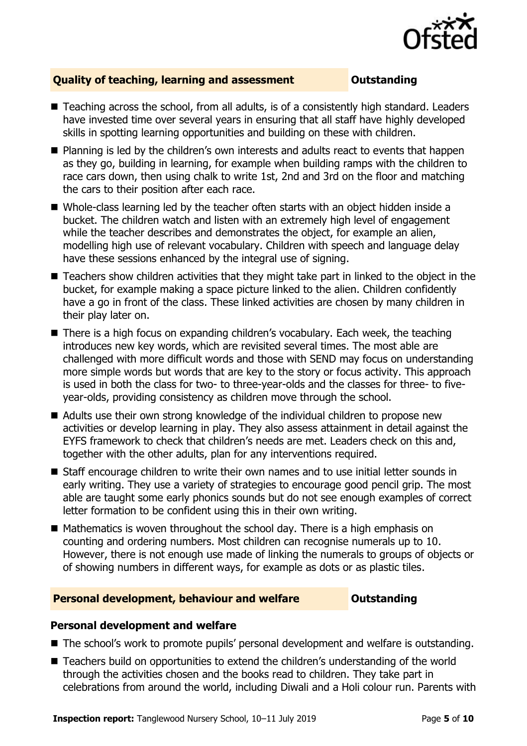

### **Quality of teaching, learning and assessment Outstanding**

- Teaching across the school, from all adults, is of a consistently high standard. Leaders have invested time over several years in ensuring that all staff have highly developed skills in spotting learning opportunities and building on these with children.
- Planning is led by the children's own interests and adults react to events that happen as they go, building in learning, for example when building ramps with the children to race cars down, then using chalk to write 1st, 2nd and 3rd on the floor and matching the cars to their position after each race.
- Whole-class learning led by the teacher often starts with an object hidden inside a bucket. The children watch and listen with an extremely high level of engagement while the teacher describes and demonstrates the object, for example an alien, modelling high use of relevant vocabulary. Children with speech and language delay have these sessions enhanced by the integral use of signing.
- Teachers show children activities that they might take part in linked to the object in the bucket, for example making a space picture linked to the alien. Children confidently have a go in front of the class. These linked activities are chosen by many children in their play later on.
- There is a high focus on expanding children's vocabulary. Each week, the teaching introduces new key words, which are revisited several times. The most able are challenged with more difficult words and those with SEND may focus on understanding more simple words but words that are key to the story or focus activity. This approach is used in both the class for two- to three-year-olds and the classes for three- to fiveyear-olds, providing consistency as children move through the school.
- Adults use their own strong knowledge of the individual children to propose new activities or develop learning in play. They also assess attainment in detail against the EYFS framework to check that children's needs are met. Leaders check on this and, together with the other adults, plan for any interventions required.
- Staff encourage children to write their own names and to use initial letter sounds in early writing. They use a variety of strategies to encourage good pencil grip. The most able are taught some early phonics sounds but do not see enough examples of correct letter formation to be confident using this in their own writing.
- Mathematics is woven throughout the school day. There is a high emphasis on counting and ordering numbers. Most children can recognise numerals up to 10. However, there is not enough use made of linking the numerals to groups of objects or of showing numbers in different ways, for example as dots or as plastic tiles.

### **Personal development, behaviour and welfare <b>COULTS** Outstanding

### **Personal development and welfare**

- The school's work to promote pupils' personal development and welfare is outstanding.
- Teachers build on opportunities to extend the children's understanding of the world through the activities chosen and the books read to children. They take part in celebrations from around the world, including Diwali and a Holi colour run. Parents with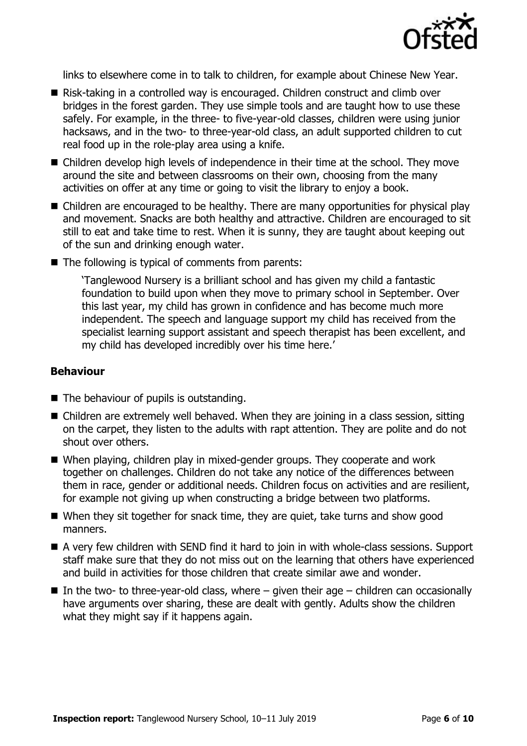

links to elsewhere come in to talk to children, for example about Chinese New Year.

- Risk-taking in a controlled way is encouraged. Children construct and climb over bridges in the forest garden. They use simple tools and are taught how to use these safely. For example, in the three- to five-year-old classes, children were using junior hacksaws, and in the two- to three-year-old class, an adult supported children to cut real food up in the role-play area using a knife.
- Children develop high levels of independence in their time at the school. They move around the site and between classrooms on their own, choosing from the many activities on offer at any time or going to visit the library to enjoy a book.
- Children are encouraged to be healthy. There are many opportunities for physical play and movement. Snacks are both healthy and attractive. Children are encouraged to sit still to eat and take time to rest. When it is sunny, they are taught about keeping out of the sun and drinking enough water.
- $\blacksquare$  The following is typical of comments from parents:

'Tanglewood Nursery is a brilliant school and has given my child a fantastic foundation to build upon when they move to primary school in September. Over this last year, my child has grown in confidence and has become much more independent. The speech and language support my child has received from the specialist learning support assistant and speech therapist has been excellent, and my child has developed incredibly over his time here.'

### **Behaviour**

- The behaviour of pupils is outstanding.
- Children are extremely well behaved. When they are joining in a class session, sitting on the carpet, they listen to the adults with rapt attention. They are polite and do not shout over others.
- When playing, children play in mixed-gender groups. They cooperate and work together on challenges. Children do not take any notice of the differences between them in race, gender or additional needs. Children focus on activities and are resilient, for example not giving up when constructing a bridge between two platforms.
- When they sit together for snack time, they are quiet, take turns and show good manners.
- A very few children with SEND find it hard to join in with whole-class sessions. Support staff make sure that they do not miss out on the learning that others have experienced and build in activities for those children that create similar awe and wonder.
- In the two- to three-year-old class, where  $-$  given their age  $-$  children can occasionally have arguments over sharing, these are dealt with gently. Adults show the children what they might say if it happens again.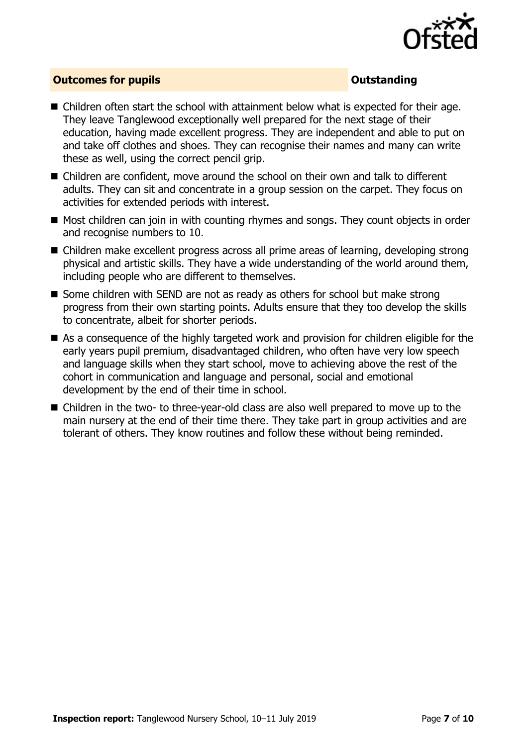

### **Outcomes for pupils Outstanding**

- Children often start the school with attainment below what is expected for their age. They leave Tanglewood exceptionally well prepared for the next stage of their education, having made excellent progress. They are independent and able to put on and take off clothes and shoes. They can recognise their names and many can write these as well, using the correct pencil grip.
- Children are confident, move around the school on their own and talk to different adults. They can sit and concentrate in a group session on the carpet. They focus on activities for extended periods with interest.
- Most children can join in with counting rhymes and songs. They count objects in order and recognise numbers to 10.
- Children make excellent progress across all prime areas of learning, developing strong physical and artistic skills. They have a wide understanding of the world around them, including people who are different to themselves.
- Some children with SEND are not as ready as others for school but make strong progress from their own starting points. Adults ensure that they too develop the skills to concentrate, albeit for shorter periods.
- As a consequence of the highly targeted work and provision for children eligible for the early years pupil premium, disadvantaged children, who often have very low speech and language skills when they start school, move to achieving above the rest of the cohort in communication and language and personal, social and emotional development by the end of their time in school.
- Children in the two- to three-year-old class are also well prepared to move up to the main nursery at the end of their time there. They take part in group activities and are tolerant of others. They know routines and follow these without being reminded.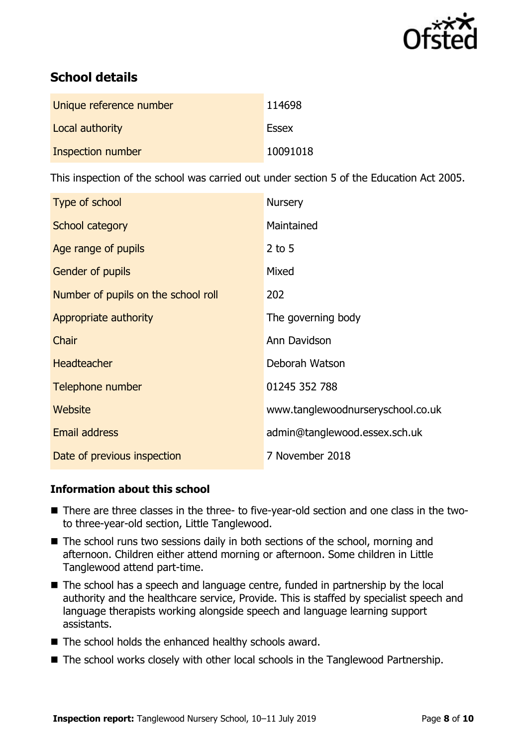

# **School details**

| Unique reference number | 114698       |
|-------------------------|--------------|
| Local authority         | <b>Essex</b> |
| Inspection number       | 10091018     |

This inspection of the school was carried out under section 5 of the Education Act 2005.

| Type of school                      | <b>Nursery</b>                    |
|-------------------------------------|-----------------------------------|
| School category                     | Maintained                        |
| Age range of pupils                 | $2$ to 5                          |
| Gender of pupils                    | Mixed                             |
| Number of pupils on the school roll | 202                               |
| Appropriate authority               | The governing body                |
| Chair                               | Ann Davidson                      |
| <b>Headteacher</b>                  | Deborah Watson                    |
| Telephone number                    | 01245 352 788                     |
| Website                             | www.tanglewoodnurseryschool.co.uk |
| <b>Email address</b>                | admin@tanglewood.essex.sch.uk     |
| Date of previous inspection         | 7 November 2018                   |

### **Information about this school**

- There are three classes in the three- to five-year-old section and one class in the twoto three-year-old section, Little Tanglewood.
- The school runs two sessions daily in both sections of the school, morning and afternoon. Children either attend morning or afternoon. Some children in Little Tanglewood attend part-time.
- The school has a speech and language centre, funded in partnership by the local authority and the healthcare service, Provide. This is staffed by specialist speech and language therapists working alongside speech and language learning support assistants.
- The school holds the enhanced healthy schools award.
- The school works closely with other local schools in the Tanglewood Partnership.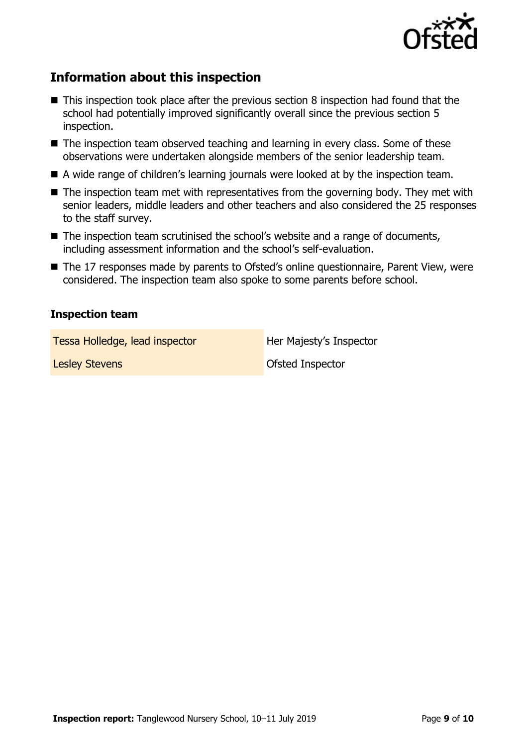

# **Information about this inspection**

- This inspection took place after the previous section 8 inspection had found that the school had potentially improved significantly overall since the previous section 5 inspection.
- The inspection team observed teaching and learning in every class. Some of these observations were undertaken alongside members of the senior leadership team.
- A wide range of children's learning journals were looked at by the inspection team.
- $\blacksquare$  The inspection team met with representatives from the governing body. They met with senior leaders, middle leaders and other teachers and also considered the 25 responses to the staff survey.
- The inspection team scrutinised the school's website and a range of documents, including assessment information and the school's self-evaluation.
- The 17 responses made by parents to Ofsted's online questionnaire, Parent View, were considered. The inspection team also spoke to some parents before school.

### **Inspection team**

Tessa Holledge, lead inspector **Her Majesty's Inspector** 

Lesley Stevens **Contact Contact Contact Contact Contact Contact Contact Contact Contact Contact Contact Contact Contact Contact Contact Contact Contact Contact Contact Contact Contact Contact Contact Contact Contact Contac**